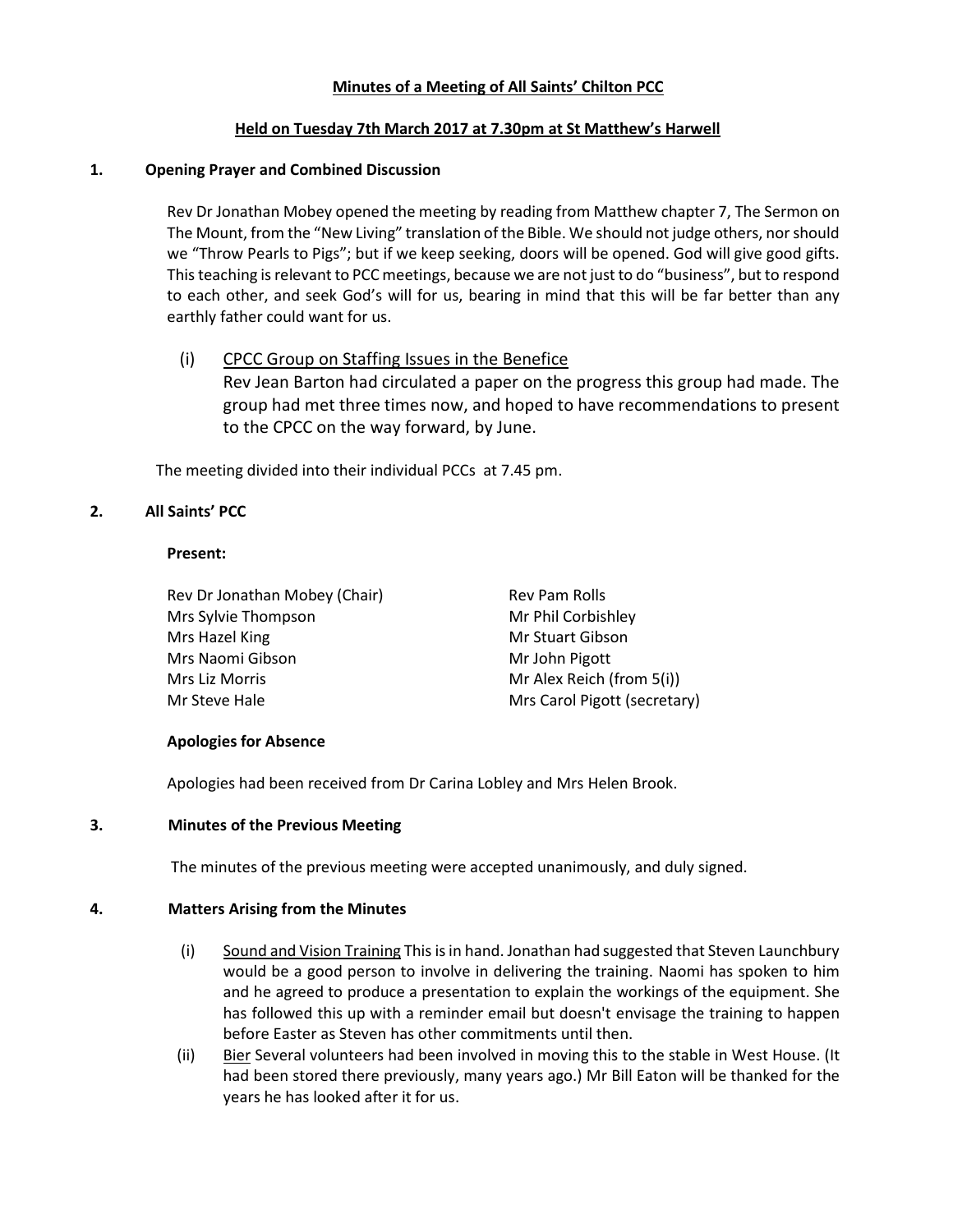### Minutes of a Meeting of All Saints' Chilton PCC

### Held on Tuesday 7th March 2017 at 7.30pm at St Matthew's Harwell

### 1. Opening Prayer and Combined Discussion

Rev Dr Jonathan Mobey opened the meeting by reading from Matthew chapter 7, The Sermon on The Mount, from the "New Living" translation of the Bible. We should not judge others, nor should we "Throw Pearls to Pigs"; but if we keep seeking, doors will be opened. God will give good gifts. This teaching is relevant to PCC meetings, because we are not just to do "business", but to respond to each other, and seek God's will for us, bearing in mind that this will be far better than any earthly father could want for us.

# (i) CPCC Group on Staffing Issues in the Benefice

Rev Jean Barton had circulated a paper on the progress this group had made. The group had met three times now, and hoped to have recommendations to present to the CPCC on the way forward, by June.

The meeting divided into their individual PCCs at 7.45 pm.

### 2. All Saints' PCC

#### Present:

Rev Dr Jonathan Mobey (Chair) Rev Pam Rolls Mrs Sylvie Thompson Mr Phil Corbishley Mrs Hazel King Mrs Hazel King Mrs Hazel King Mrs Hazel King Mrs Hazel Allen Mrs Hazel Allen Mrs Hazel Allen Mr Mrs Naomi Gibson Mrs Naomi Gibson Mrs Liz Morris **Mrs** Liz Morris Mrs Liz Morris Mrs Liz Morris Mrs Liz Morris Mrs Alex Reich (from 5(i)) Mr Steve Hale Mrs Carol Pigott (secretary)

#### Apologies for Absence

Apologies had been received from Dr Carina Lobley and Mrs Helen Brook.

#### 3. Minutes of the Previous Meeting

The minutes of the previous meeting were accepted unanimously, and duly signed.

#### 4. Matters Arising from the Minutes

- (i) Sound and Vision Training This is in hand. Jonathan had suggested that Steven Launchbury would be a good person to involve in delivering the training. Naomi has spoken to him and he agreed to produce a presentation to explain the workings of the equipment. She has followed this up with a reminder email but doesn't envisage the training to happen before Easter as Steven has other commitments until then.
- (ii) Bier Several volunteers had been involved in moving this to the stable in West House. (It had been stored there previously, many years ago.) Mr Bill Eaton will be thanked for the years he has looked after it for us.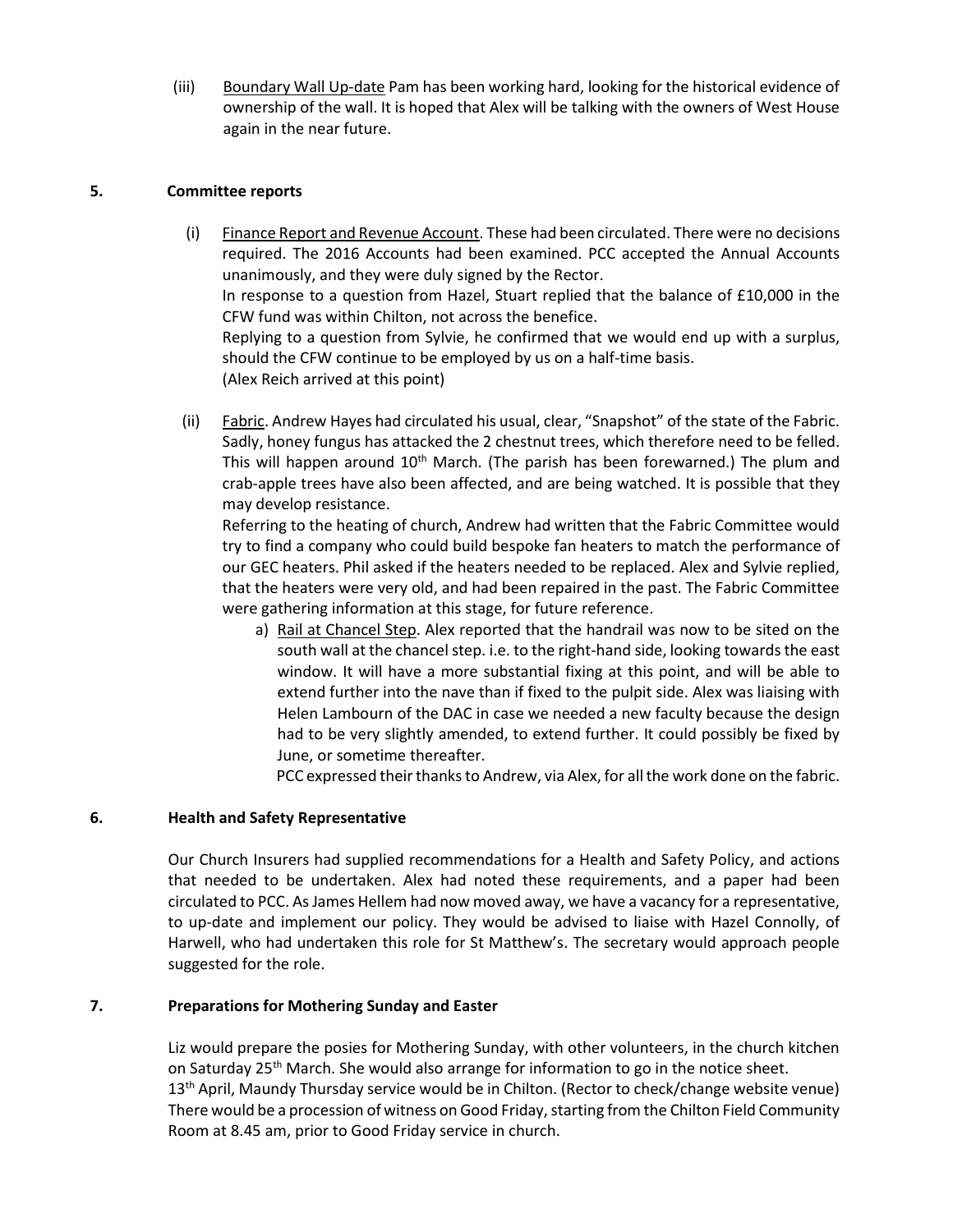(iii) Boundary Wall Up-date Pam has been working hard, looking for the historical evidence of ownership of the wall. It is hoped that Alex will be talking with the owners of West House again in the near future.

#### 5. Committee reports

- (i) Finance Report and Revenue Account. These had been circulated. There were no decisions required. The 2016 Accounts had been examined. PCC accepted the Annual Accounts unanimously, and they were duly signed by the Rector. In response to a question from Hazel, Stuart replied that the balance of £10,000 in the CFW fund was within Chilton, not across the benefice. Replying to a question from Sylvie, he confirmed that we would end up with a surplus, should the CFW continue to be employed by us on a half-time basis. (Alex Reich arrived at this point)
- (ii) Fabric. Andrew Hayes had circulated his usual, clear, "Snapshot" of the state of the Fabric. Sadly, honey fungus has attacked the 2 chestnut trees, which therefore need to be felled. This will happen around  $10<sup>th</sup>$  March. (The parish has been forewarned.) The plum and crab-apple trees have also been affected, and are being watched. It is possible that they may develop resistance.

Referring to the heating of church, Andrew had written that the Fabric Committee would try to find a company who could build bespoke fan heaters to match the performance of our GEC heaters. Phil asked if the heaters needed to be replaced. Alex and Sylvie replied, that the heaters were very old, and had been repaired in the past. The Fabric Committee were gathering information at this stage, for future reference.

a) Rail at Chancel Step. Alex reported that the handrail was now to be sited on the south wall at the chancel step. i.e. to the right-hand side, looking towards the east window. It will have a more substantial fixing at this point, and will be able to extend further into the nave than if fixed to the pulpit side. Alex was liaising with Helen Lambourn of the DAC in case we needed a new faculty because the design had to be very slightly amended, to extend further. It could possibly be fixed by June, or sometime thereafter.

PCC expressed their thanks to Andrew, via Alex, for all the work done on the fabric.

#### 6. Health and Safety Representative

Our Church Insurers had supplied recommendations for a Health and Safety Policy, and actions that needed to be undertaken. Alex had noted these requirements, and a paper had been circulated to PCC. As James Hellem had now moved away, we have a vacancy for a representative, to up-date and implement our policy. They would be advised to liaise with Hazel Connolly, of Harwell, who had undertaken this role for St Matthew's. The secretary would approach people suggested for the role.

#### 7. Preparations for Mothering Sunday and Easter

Liz would prepare the posies for Mothering Sunday, with other volunteers, in the church kitchen on Saturday 25<sup>th</sup> March. She would also arrange for information to go in the notice sheet.  $13<sup>th</sup>$  April, Maundy Thursday service would be in Chilton. (Rector to check/change website venue) There would be a procession of witness on Good Friday, starting from the Chilton Field Community Room at 8.45 am, prior to Good Friday service in church.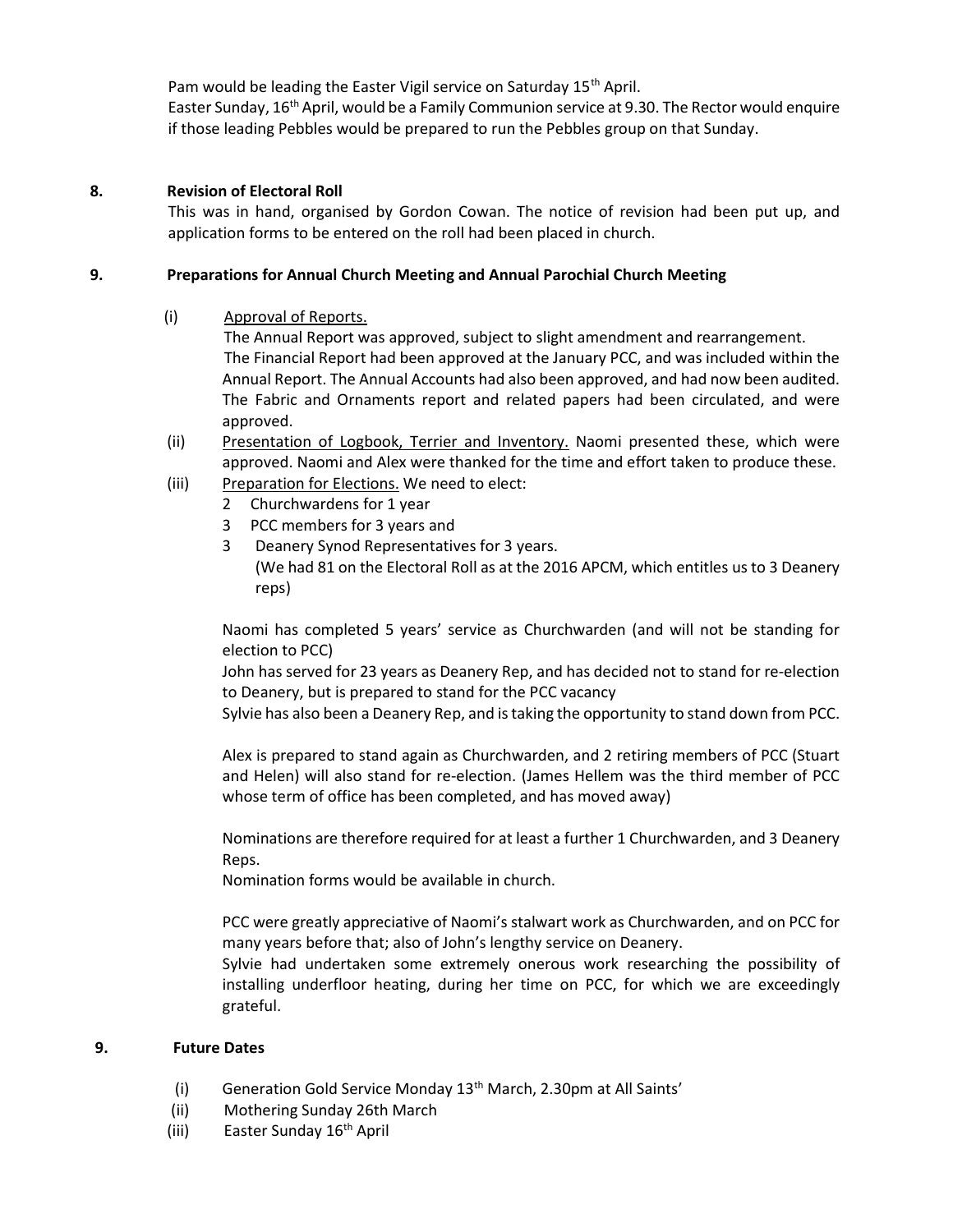Pam would be leading the Easter Vigil service on Saturday 15<sup>th</sup> April. Easter Sunday, 16th April, would be a Family Communion service at 9.30. The Rector would enquire if those leading Pebbles would be prepared to run the Pebbles group on that Sunday.

## 8. Revision of Electoral Roll

This was in hand, organised by Gordon Cowan. The notice of revision had been put up, and application forms to be entered on the roll had been placed in church.

## 9. Preparations for Annual Church Meeting and Annual Parochial Church Meeting

(i) Approval of Reports.

 The Annual Report was approved, subject to slight amendment and rearrangement. The Financial Report had been approved at the January PCC, and was included within the Annual Report. The Annual Accounts had also been approved, and had now been audited. The Fabric and Ornaments report and related papers had been circulated, and were approved.

- (ii) Presentation of Logbook, Terrier and Inventory. Naomi presented these, which were approved. Naomi and Alex were thanked for the time and effort taken to produce these.
- (iii) Preparation for Elections. We need to elect:
	- 2 Churchwardens for 1 year
	- 3 PCC members for 3 years and
	- 3 Deanery Synod Representatives for 3 years. (We had 81 on the Electoral Roll as at the 2016 APCM, which entitles us to 3 Deanery reps)

Naomi has completed 5 years' service as Churchwarden (and will not be standing for election to PCC)

John has served for 23 years as Deanery Rep, and has decided not to stand for re-election to Deanery, but is prepared to stand for the PCC vacancy

Sylvie has also been a Deanery Rep, and is taking the opportunity to stand down from PCC.

Alex is prepared to stand again as Churchwarden, and 2 retiring members of PCC (Stuart and Helen) will also stand for re-election. (James Hellem was the third member of PCC whose term of office has been completed, and has moved away)

Nominations are therefore required for at least a further 1 Churchwarden, and 3 Deanery Reps.

Nomination forms would be available in church.

PCC were greatly appreciative of Naomi's stalwart work as Churchwarden, and on PCC for many years before that; also of John's lengthy service on Deanery.

Sylvie had undertaken some extremely onerous work researching the possibility of installing underfloor heating, during her time on PCC, for which we are exceedingly grateful.

# 9. Future Dates

- (i) Generation Gold Service Monday  $13<sup>th</sup>$  March, 2.30pm at All Saints'
- (ii) Mothering Sunday 26th March
- (iii) Easter Sunday  $16<sup>th</sup>$  April